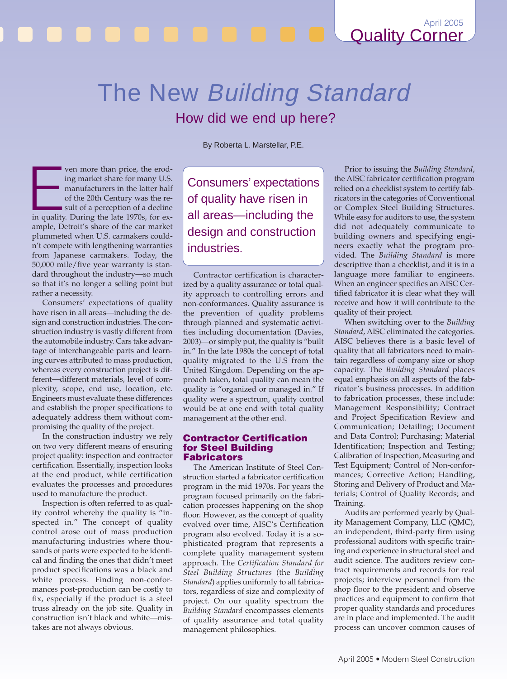Quality Corner April 2005

## The New Building Standard How did we end up here?

By Roberta L. Marstellar, P.E.

ven more than price, the eroding market share for many U.S.<br>manufacturers in the latter half<br>of the 20th Century was the re-<br>sult of a perception of a decline<br>in quality. During the late 1970s, for exven more than price, the eroding market share for many U.S. manufacturers in the latter half of the 20th Century was the result of a perception of a decline ample, Detroit's share of the car market plummeted when U.S. carmakers couldn't compete with lengthening warranties from Japanese carmakers. Today, the 50,000 mile/five year warranty is standard throughout the industry—so much so that it's no longer a selling point but rather a necessity.

Consumers' expectations of quality have risen in all areas—including the design and construction industries. The construction industry is vastly different from the automobile industry. Cars take advantage of interchangeable parts and learning curves attributed to mass production, whereas every construction project is different—different materials, level of complexity, scope, end use, location, etc. Engineers must evaluate these differences and establish the proper specifications to adequately address them without compromising the quality of the project.

In the construction industry we rely on two very different means of ensuring project quality: inspection and contractor certification. Essentially, inspection looks at the end product, while certification evaluates the processes and procedures used to manufacture the product.

Inspection is often referred to as quality control whereby the quality is "inspected in." The concept of quality control arose out of mass production manufacturing industries where thousands of parts were expected to be identical and finding the ones that didn't meet product specifications was a black and white process. Finding non-conformances post-production can be costly to fix, especially if the product is a steel truss already on the job site. Quality in construction isn't black and white—mistakes are not always obvious.

Consumers' expectations of quality have risen in all areas—including the design and construction industries.

Contractor certification is characterized by a quality assurance or total quality approach to controlling errors and non-conformances. Quality assurance is the prevention of quality problems through planned and systematic activities including documentation (Davies, 2003)—or simply put, the quality is "built in." In the late 1980s the concept of total quality migrated to the U.S from the United Kingdom. Depending on the approach taken, total quality can mean the quality is "organized or managed in." If quality were a spectrum, quality control would be at one end with total quality management at the other end.

## **Contractor Certification for Steel Building Fabricators**

The American Institute of Steel Construction started a fabricator certification program in the mid 1970s. For years the program focused primarily on the fabrication processes happening on the shop floor. However, as the concept of quality evolved over time, AISC's Certification program also evolved. Today it is a sophisticated program that represents a complete quality management system approach. The *Certification Standard for Steel Building Structures* (the *Building Standard*) applies uniformly to all fabricators, regardless of size and complexity of project. On our quality spectrum the *Building Standard* encompasses elements of quality assurance and total quality management philosophies.

Prior to issuing the *Building Standard*, the AISC fabricator certification program relied on a checklist system to certify fabricators in the categories of Conventional or Complex Steel Building Structures. While easy for auditors to use, the system did not adequately communicate to building owners and specifying engineers exactly what the program provided. The *Building Standard* is more descriptive than a checklist, and it is in a language more familiar to engineers. When an engineer specifies an AISC Certified fabricator it is clear what they will receive and how it will contribute to the quality of their project.

When switching over to the *Building Standard*, AISC eliminated the categories. AISC believes there is a basic level of quality that all fabricators need to maintain regardless of company size or shop capacity. The *Building Standard* places equal emphasis on all aspects of the fabricator's business processes. In addition to fabrication processes, these include: Management Responsibility; Contract and Project Specification Review and Communication; Detailing; Document and Data Control; Purchasing; Material Identification; Inspection and Testing; Calibration of Inspection, Measuring and Test Equipment; Control of Non-conformances; Corrective Action; Handling, Storing and Delivery of Product and Materials; Control of Quality Records; and Training.

Audits are performed yearly by Quality Management Company, LLC (QMC), an independent, third-party firm using professional auditors with specific training and experience in structural steel and audit science. The auditors review contract requirements and records for real projects; interview personnel from the shop floor to the president; and observe practices and equipment to confirm that proper quality standards and procedures are in place and implemented. The audit process can uncover common causes of